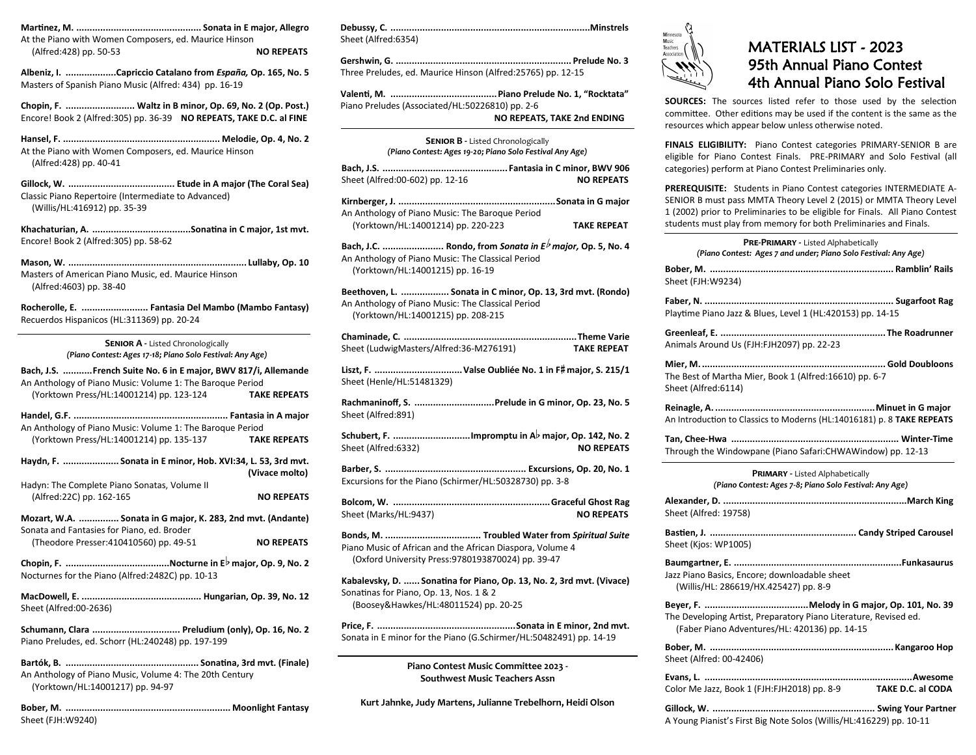**Martinez, M. ............................................... Sonata in E major, Allegro** At the Piano with Women Composers, ed. Maurice Hinson (Alfred:428) pp. 50-53 **NO REPEATS**

**Albeniz, I. ...................Capriccio Catalano from** *España,* **Op. 165, No. 5** Masters of Spanish Piano Music (Alfred: 434) pp. 16-19

**Chopin, F. .......................... Waltz in B minor, Op. 69, No. 2 (Op. Post.)** Encore! Book 2 (Alfred:305) pp. 36-39 **NO REPEATS, TAKE D.C. al FINE**

**Hansel, F. ........................................................... Melodie, Op. 4, No. 2** At the Piano with Women Composers, ed. Maurice Hinson (Alfred:428) pp. 40-41

**Gillock, W. ........................................ Etude in A major (The Coral Sea)** Classic Piano Repertoire (Intermediate to Advanced) (Willis/HL:416912) pp. 35-39

**Khachaturian, A. .....................................Sonatina in C major, 1st mvt.** Encore! Book 2 (Alfred:305) pp. 58-62

**Mason, W. ................................................................... Lullaby, Op. 10** Masters of American Piano Music, ed. Maurice Hinson (Alfred:4603) pp. 38-40

**Rocherolle, E. ......................... Fantasia Del Mambo (Mambo Fantasy)** Recuerdos Hispanicos (HL:311369) pp. 20-24

> **Senior A -** Listed Chronologically *(Piano Contest: Ages 17-18; Piano Solo Festival: Any Age)*

| Bach, J.S. French Suite No. 6 in E major, BWV 817/i, Allemande<br>An Anthology of Piano Music: Volume 1: The Baroque Period |                   |  |
|-----------------------------------------------------------------------------------------------------------------------------|-------------------|--|
| (Yorktown Press/HL:14001214) pp. 123-124 TAKE REPEATS                                                                       |                   |  |
| An Anthology of Piano Music: Volume 1: The Baroque Period                                                                   |                   |  |
| (Yorktown Press/HL:14001214) pp. 135-137 TAKE REPEATS                                                                       |                   |  |
| Haydn, F.  Sonata in E minor, Hob. XVI:34, L. 53, 3rd mvt.<br>(Vivace molto)                                                |                   |  |
| Hadyn: The Complete Piano Sonatas, Volume II                                                                                |                   |  |
| (Alfred:22C) pp. 162-165                                                                                                    | <b>NO REPEATS</b> |  |
| Mozart, W.A.  Sonata in G major, K. 283, 2nd mvt. (Andante)<br>Sonata and Fantasies for Piano, ed. Broder                   |                   |  |
| (Theodore Presser: 410410560) pp. 49-51                                                                                     | <b>NO REPEATS</b> |  |
| Nocturnes for the Piano (Alfred: 2482C) pp. 10-13                                                                           |                   |  |
| Sheet (Alfred:00-2636)                                                                                                      |                   |  |
| Schumann, Clara  Preludium (only), Op. 16, No. 2                                                                            |                   |  |

Piano Preludes, ed. Schorr (HL:240248) pp. 197-199

**Bartók, B. .................................................. Sonatina, 3rd mvt. (Finale)** An Anthology of Piano Music, Volume 4: The 20th Century (Yorktown/HL:14001217) pp. 94-97

**Bober, M. .............................................................. Moonlight Fantasy** Sheet (FJH:W9240)

| Sheet (Alfred:6354) |  |
|---------------------|--|

**Gershwin, G. .................................................................. Prelude No. 3** Three Preludes, ed. Maurice Hinson (Alfred:25765) pp. 12-15

**Valenti, M. ........................................Piano Prelude No. 1, "Rocktata"** Piano Preludes (Associated/HL:50226810) pp. 2-6 **NO REPEATS, TAKE 2nd ENDING**

| <b>SENIOR B - Listed Chronologically</b><br>(Piano Contest: Ages 19-20; Piano Solo Festival Any Age)            |                    |  |
|-----------------------------------------------------------------------------------------------------------------|--------------------|--|
| Sheet (Alfred:00-602) pp. 12-16                                                                                 | <b>NO REPEATS</b>  |  |
| An Anthology of Piano Music: The Baroque Period                                                                 |                    |  |
| (Yorktown/HL:14001214) pp. 220-223<br>Bach, J.C.  Rondo, from Sonata in $E^{\frac{1}{2}}$ major, Op. 5, No. 4   | <b>TAKE REPEAT</b> |  |
| An Anthology of Piano Music: The Classical Period<br>(Yorktown/HL:14001215) pp. 16-19                           |                    |  |
| Beethoven, L.  Sonata in C minor, Op. 13, 3rd mvt. (Rondo)<br>An Anthology of Piano Music: The Classical Period |                    |  |

(Yorktown/HL:14001215) pp. 208-215

| Sheet (LudwigMasters/Alfred:36-M276191) | <b>TAKE REPEAT</b> |
|-----------------------------------------|--------------------|

B **Liszt, F. .................................Valse Oubliée No. 1 in F major, S. 215/1** Sheet (Henle/HL:51481329)

**Rachmaninoff, S. ..............................Prelude in G minor, Op. 23, No. 5** Sheet (Alfred:891)

**SCHER, F. ..............................Impromptu** in A♭ major, Op. 142, No. 2<br>Schubert, F. ............................Impromptu in A♭ major, Op. 142, No. 2 Sheet (Alfred:6332) **NO REPEATS** 

**Barber, S. ..................................................... Excursions, Op. 20, No. 1** Excursions for the Piano (Schirmer/HL:50328730) pp. 3-8

**Bolcom, W. ...........................................................Graceful Ghost Rag** Sheet (Marks/HL:9437) **NO REPEATS** 

**Bonds, M. .................................... Troubled Water from** *Spiritual Suite* Piano Music of African and the African Diaspora, Volume 4 (Oxford University Press:9780193870024) pp. 39-47

**Kabalevsky, D. ...... Sonatina for Piano, Op. 13, No. 2, 3rd mvt. (Vivace)** Sonatinas for Piano, Op. 13, Nos. 1 & 2 (Boosey&Hawkes/HL:48011524) pp. 20-25

**Price, F. ....................................................Sonata in E minor, 2nd mvt.** Sonata in E minor for the Piano (G.Schirmer/HL:50482491) pp. 14-19

> **Piano Contest Music Committee 2023 - Southwest Music Teachers Assn**

**Kurt Jahnke, Judy Martens, Julianne Trebelhorn, Heidi Olson**



## MATERIALS LIST - 2023 95th Annual Piano Contest 4th Annual Piano Solo Festival

**SOURCES:** The sources listed refer to those used by the selection committee. Other editions may be used if the content is the same as the resources which appear below unless otherwise noted.

**FINALS ELIGIBILITY:** Piano Contest categories PRIMARY-SENIOR B are eligible for Piano Contest Finals. PRE-PRIMARY and Solo Festival (all categories) perform at Piano Contest Preliminaries only.

**PREREQUISITE:** Students in Piano Contest categories INTERMEDIATE A-SENIOR B must pass MMTA Theory Level 2 (2015) or MMTA Theory Level 1 (2002) prior to Preliminaries to be eligible for Finals. All Piano Contest students must play from memory for both Preliminaries and Finals.

| PRE-PRIMARY - Listed Alphabetically<br>(Piano Contest: Ages 7 and under; Piano Solo Festival: Any Age)            |
|-------------------------------------------------------------------------------------------------------------------|
| Sheet (FJH:W9234)                                                                                                 |
| Playtime Piano Jazz & Blues, Level 1 (HL:420153) pp. 14-15                                                        |
| Animals Around Us (FJH:FJH2097) pp. 22-23                                                                         |
| The Best of Martha Mier, Book 1 (Alfred:16610) pp. 6-7<br>Sheet (Alfred:6114)                                     |
| An Introduction to Classics to Moderns (HL:14016181) p. 8 TAKE REPEATS                                            |
| Through the Windowpane (Piano Safari:CHWAWindow) pp. 12-13                                                        |
| <b>PRIMARY - Listed Alphabetically</b><br>(Piano Contest: Ages 7-8; Piano Solo Festival: Any Age)                 |
| Sheet (Alfred: 19758)                                                                                             |
| Sheet (Kjos: WP1005)                                                                                              |
| Jazz Piano Basics, Encore; downloadable sheet<br>(Willis/HL: 286619/HX.425427) pp. 8-9                            |
| The Developing Artist, Preparatory Piano Literature, Revised ed.<br>(Faber Piano Adventures/HL: 420136) pp. 14-15 |
| Sheet (Alfred: 00-42406)                                                                                          |
|                                                                                                                   |
| Color Me Jazz, Book 1 (FJH:FJH2018) pp. 8-9 TAKE D.C. al CODA                                                     |

A Young Pianist's First Big Note Solos (Willis/HL:416229) pp. 10-11